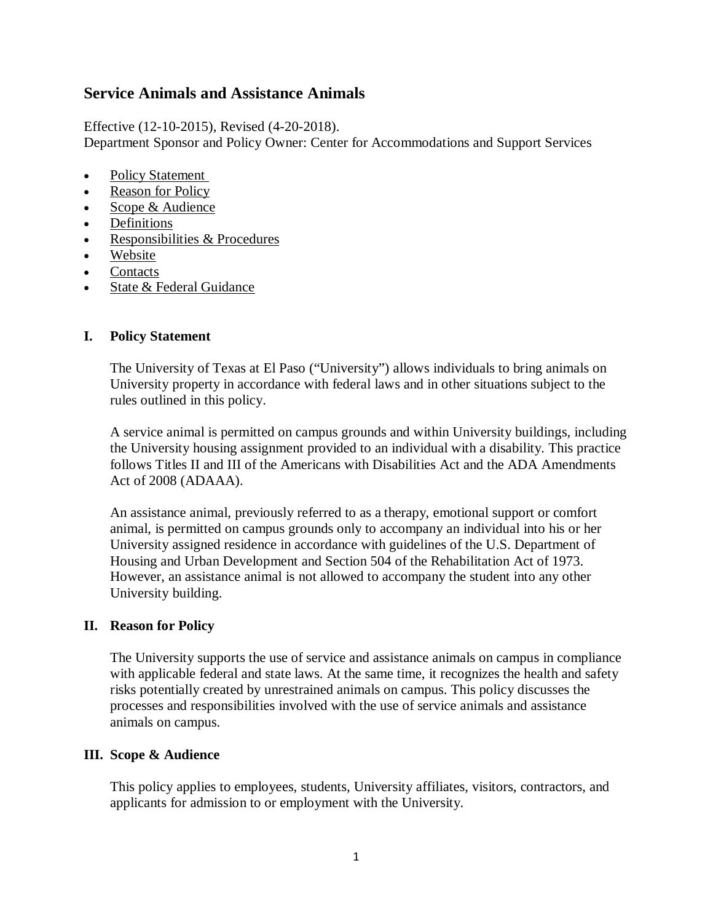# **Service Animals and Assistance Animals**

Effective (12-10-2015), Revised (4-20-2018). Department Sponsor and Policy Owner: Center for Accommodations and Support Services

- [Policy Statement](https://www.policies.utexas.edu/policies/animals-campus#policy-statement)
- Reason for Policy
- Scope & Audience
- Definitions
- [Responsibilities & Procedures](https://www.policies.utexas.edu/policies/animals-campus#responsibilities-procedures)
- Website
- [Contacts](https://www.policies.utexas.edu/policies/animals-campus#contacts)
- State & Federal Guidance

## **I. Policy Statement**

The University of Texas at El Paso ("University") allows individuals to bring animals on University property in accordance with federal laws and in other situations subject to the rules outlined in this policy.

A service animal is permitted on campus grounds and within University buildings, including the University housing assignment provided to an individual with a disability. This practice follows Titles II and III of the Americans with Disabilities Act and the ADA Amendments Act of 2008 (ADAAA).

An assistance animal, previously referred to as a therapy, emotional support or comfort animal, is permitted on campus grounds only to accompany an individual into his or her University assigned residence in accordance with guidelines of the U.S. Department of Housing and Urban Development and Section 504 of the Rehabilitation Act of 1973. However, an assistance animal is not allowed to accompany the student into any other University building.

## **II. Reason for Policy**

The University supports the use of service and assistance animals on campus in compliance with applicable federal and state laws. At the same time, it recognizes the health and safety risks potentially created by unrestrained animals on campus. This policy discusses the processes and responsibilities involved with the use of service animals and assistance animals on campus.

## **III. Scope & Audience**

This policy applies to employees, students, University affiliates, visitors, contractors, and applicants for admission to or employment with the University.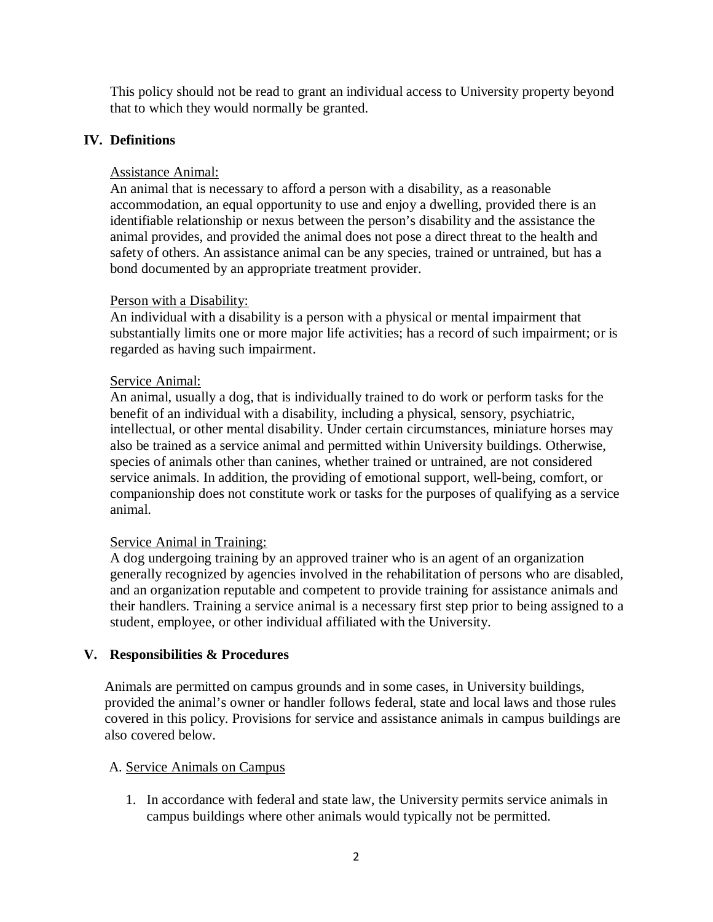This policy should not be read to grant an individual access to University property beyond that to which they would normally be granted.

# **IV. Definitions**

# Assistance Animal:

An animal that is necessary to afford a person with a disability, as a reasonable accommodation, an equal opportunity to use and enjoy a dwelling, provided there is an identifiable relationship or nexus between the person's disability and the assistance the animal provides, and provided the animal does not pose a direct threat to the health and safety of others. An assistance animal can be any species, trained or untrained, but has a bond documented by an appropriate treatment provider.

# Person with a Disability:

An individual with a disability is a person with a physical or mental impairment that substantially limits one or more major life activities; has a record of such impairment; or is regarded as having such impairment.

# Service Animal:

An animal, usually a dog, that is individually trained to do work or perform tasks for the benefit of an individual with a disability, including a physical, sensory, psychiatric, intellectual, or other mental disability. Under certain circumstances, miniature horses may also be trained as a service animal and permitted within University buildings. Otherwise, species of animals other than canines, whether trained or untrained, are not considered service animals. In addition, the providing of emotional support, well-being, comfort, or companionship does not constitute work or tasks for the purposes of qualifying as a service animal.

# Service Animal in Training:

A dog undergoing training by an approved trainer who is an agent of an organization generally recognized by agencies involved in the rehabilitation of persons who are disabled, and an organization reputable and competent to provide training for assistance animals and their handlers. Training a service animal is a necessary first step prior to being assigned to a student, employee, or other individual affiliated with the University.

# **V. Responsibilities & Procedures**

Animals are permitted on campus grounds and in some cases, in University buildings, provided the animal's owner or handler follows federal, state and local laws and those rules covered in this policy. Provisions for service and assistance animals in campus buildings are also covered below.

## A. Service Animals on Campus

1. In accordance with federal and state law, the University permits service animals in campus buildings where other animals would typically not be permitted.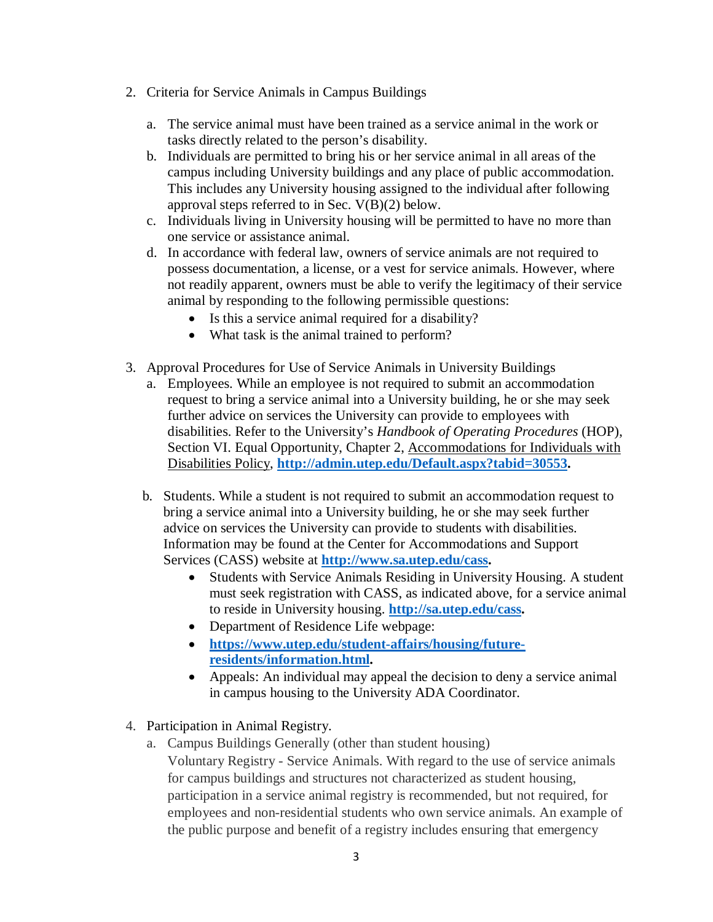- 2. Criteria for Service Animals in Campus Buildings
	- a. The service animal must have been trained as a service animal in the work or tasks directly related to the person's disability.
	- b. Individuals are permitted to bring his or her service animal in all areas of the campus including University buildings and any place of public accommodation. This includes any University housing assigned to the individual after following approval steps referred to in Sec. V(B)(2) below.
	- c. Individuals living in University housing will be permitted to have no more than one service or assistance animal.
	- d. In accordance with federal law, owners of service animals are not required to possess documentation, a license, or a vest for service animals. However, where not readily apparent, owners must be able to verify the legitimacy of their service animal by responding to the following permissible questions:
		- Is this a service animal required for a disability?
		- What task is the animal trained to perform?
- 3. Approval Procedures for Use of Service Animals in University Buildings
	- a. Employees. While an employee is not required to submit an accommodation request to bring a service animal into a University building, he or she may seek further advice on services the University can provide to employees with disabilities. Refer to the University's *Handbook of Operating Procedures* (HOP), Section VI. Equal Opportunity, Chapter 2, Accommodations for Individuals with Disabilities Policy, **[http://admin.utep.edu/Default.aspx?tabid=30553.](http://admin.utep.edu/Default.aspx?tabid=30553)**
	- b. Students. While a student is not required to submit an accommodation request to bring a service animal into a University building, he or she may seek further advice on services the University can provide to students with disabilities. Information may be found at the Center for Accommodations and Support Services (CASS) website at **[http://www.sa.utep.edu/cass.](http://www.sa.utep.edu/cass)** 
		- Students with Service Animals Residing in University Housing. A student must seek registration with CASS, as indicated above, for a service animal to reside in University housing. **[http://sa.utep.edu/cass.](http://sa.utep.edu/cass)**
		- Department of Residence Life webpage:
		- **[https://www.utep.edu/student-affairs/housing/future](https://www.utep.edu/student-affairs/housing/future-residents/information.html)[residents/information.html.](https://www.utep.edu/student-affairs/housing/future-residents/information.html)**
		- Appeals: An individual may appeal the decision to deny a service animal in campus housing to the University ADA Coordinator.
- 4. Participation in Animal Registry.
	- a. Campus Buildings Generally (other than student housing) Voluntary Registry - Service Animals. With regard to the use of service animals for campus buildings and structures not characterized as student housing, participation in a service animal registry is recommended, but not required, for employees and non-residential students who own service animals. An example of the public purpose and benefit of a registry includes ensuring that emergency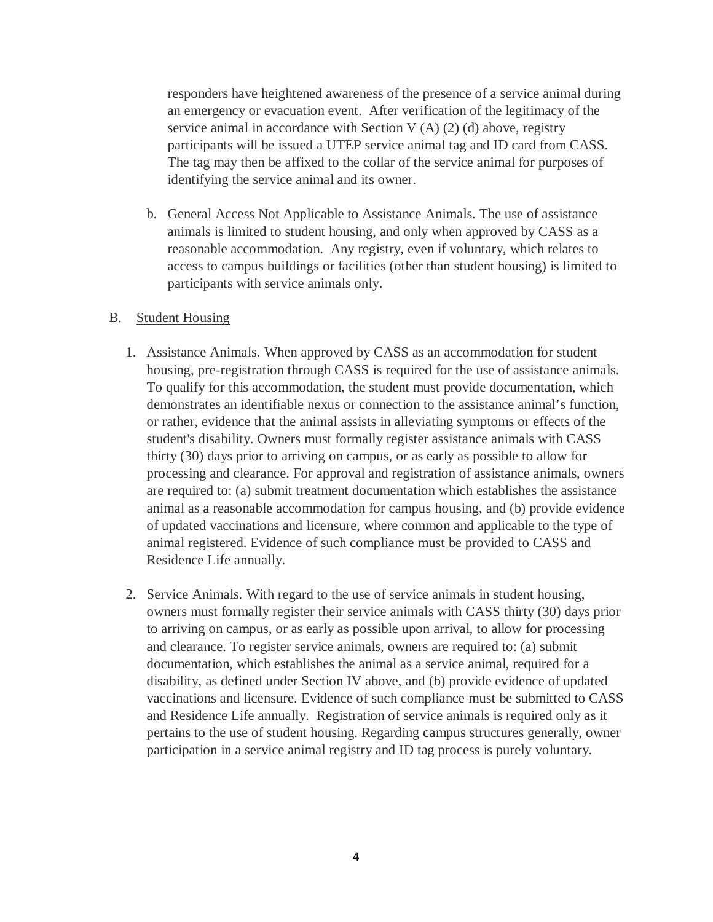responders have heightened awareness of the presence of a service animal during an emergency or evacuation event. After verification of the legitimacy of the service animal in accordance with Section V  $(A)$   $(2)$   $(d)$  above, registry participants will be issued a UTEP service animal tag and ID card from CASS. The tag may then be affixed to the collar of the service animal for purposes of identifying the service animal and its owner.

b. General Access Not Applicable to Assistance Animals. The use of assistance animals is limited to student housing, and only when approved by CASS as a reasonable accommodation. Any registry, even if voluntary, which relates to access to campus buildings or facilities (other than student housing) is limited to participants with service animals only.

#### B. Student Housing

- 1. Assistance Animals. When approved by CASS as an accommodation for student housing, pre-registration through CASS is required for the use of assistance animals. To qualify for this accommodation, the student must provide documentation, which demonstrates an identifiable nexus or connection to the assistance animal's function, or rather, evidence that the animal assists in alleviating symptoms or effects of the student's disability. Owners must formally register assistance animals with CASS thirty (30) days prior to arriving on campus, or as early as possible to allow for processing and clearance. For approval and registration of assistance animals, owners are required to: (a) submit treatment documentation which establishes the assistance animal as a reasonable accommodation for campus housing, and (b) provide evidence of updated vaccinations and licensure, where common and applicable to the type of animal registered. Evidence of such compliance must be provided to CASS and Residence Life annually.
- 2. Service Animals. With regard to the use of service animals in student housing, owners must formally register their service animals with CASS thirty (30) days prior to arriving on campus, or as early as possible upon arrival, to allow for processing and clearance. To register service animals, owners are required to: (a) submit documentation, which establishes the animal as a service animal, required for a disability, as defined under Section IV above, and (b) provide evidence of updated vaccinations and licensure. Evidence of such compliance must be submitted to CASS and Residence Life annually. Registration of service animals is required only as it pertains to the use of student housing. Regarding campus structures generally, owner participation in a service animal registry and ID tag process is purely voluntary.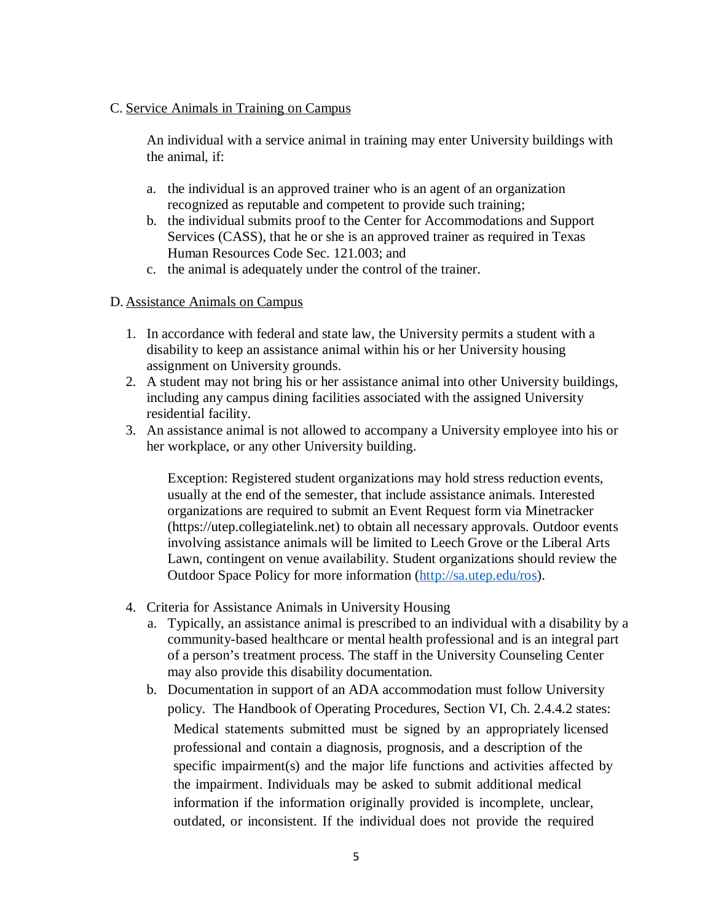#### C. Service Animals in Training on Campus

An individual with a service animal in training may enter University buildings with the animal, if:

- a. the individual is an approved trainer who is an agent of an organization recognized as reputable and competent to provide such training;
- b. the individual submits proof to the Center for Accommodations and Support Services (CASS), that he or she is an approved trainer as required in Texas Human Resources Code Sec. 121.003; and
- c. the animal is adequately under the control of the trainer.

## D. Assistance Animals on Campus

- 1. In accordance with federal and state law, the University permits a student with a disability to keep an assistance animal within his or her University housing assignment on University grounds.
- 2. A student may not bring his or her assistance animal into other University buildings, including any campus dining facilities associated with the assigned University residential facility.
- 3. An assistance animal is not allowed to accompany a University employee into his or her workplace, or any other University building.

Exception: Registered student organizations may hold stress reduction events, usually at the end of the semester, that include assistance animals. Interested organizations are required to submit an Event Request form via Minetracker (https://utep.collegiatelink.net) to obtain all necessary approvals. Outdoor events involving assistance animals will be limited to Leech Grove or the Liberal Arts Lawn, contingent on venue availability. Student organizations should review the Outdoor Space Policy for more information [\(http://sa.utep.edu/ros\)](http://sa.utep.edu/ros).

- 4. Criteria for Assistance Animals in University Housing
	- a. Typically, an assistance animal is prescribed to an individual with a disability by a community-based healthcare or mental health professional and is an integral part of a person's treatment process. The staff in the University Counseling Center may also provide this disability documentation.
	- b. Documentation in support of an ADA accommodation must follow University policy. The Handbook of Operating Procedures, Section VI, Ch. 2.4.4.2 states: Medical statements submitted must be signed by an appropriately licensed professional and contain a diagnosis, prognosis, and a description of the specific impairment(s) and the major life functions and activities affected by the impairment. Individuals may be asked to submit additional medical information if the information originally provided is incomplete, unclear, outdated, or inconsistent. If the individual does not provide the required